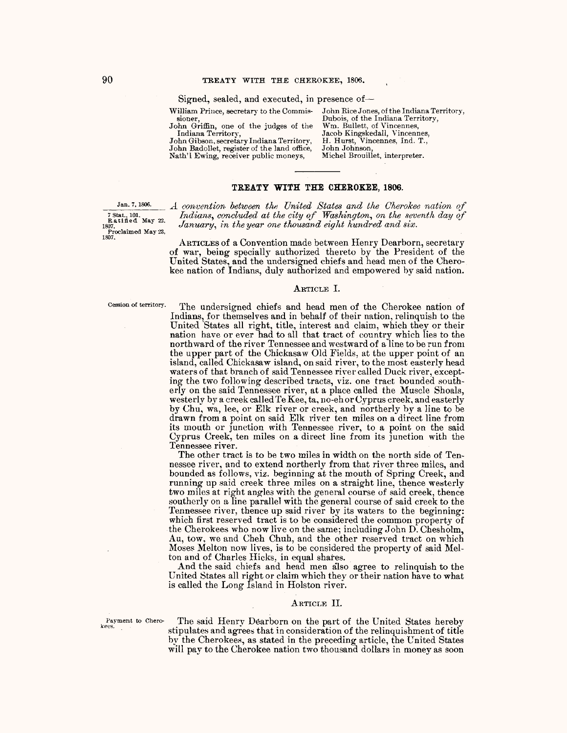Signed, sealed, and executed, in presence of-

William Prince, secretary to the Commis-

sioner, John Griffin, one of the judges of the

Indiana Territory, John Gibson, secretary Indiana Territory, John Badollet, register of the land office, Nath'l Ewing, receiver public moneys,

John Rice Jones, of the Indiana Territory, Dubois, of the Indiana Territory, Wm. Bullett, of Vincennes, Jacob Kingskedall, Vincennes, H. Hurst, Vincennes, Ind. T., John Johnson, Michel Brouillet, interpreter.

# **TREATY WITH THE CHEROKEE, 1806.**

Proclaimed May 23,  $1807$ .

Jan. 7, 1806. *A convention between the United States and the Cherokee nation of* <sup>7</sup> Stat., 101. **Indians, concluded at the city of Washington**, on the seventh day of <sup>7</sup> Stat., 101. *Indians, concluded at the city of* Washington, on the sevent Ratified May 22. January, in the year one thousand eight hundred and six.

> ARTICLES of a Convention made between Henry Dearborn, secretary of war, being specially authorized thereto by the President of the United States, and the undersigned chiefs and head men of the Cherokee nation of Indians, duly authorized and empowered by said nation.

#### ARTICLE I.

Cession of territory. The undersigned chiefs and head men of the Cherokee nation of Indians, for themselves and in behalf of their nation, relinquish to the United States all right, title, interest and claim, which they or their nation have or ever had to all that tract of country which lies to the northward of the river Tennessee and westward of a line to be run from the upper part of the Chickasaw Old Fields, at the upper point of an island, called Chickasaw island, on said river, to the most easterly head waters of that branch of said Tennessee river called Duck river, excepting the two following described tracts, viz. one tract bounded southerly on the said Tennessee river, at a place called the Muscle Shoals, westerly by a creek called Te Kee, ta, no-eh or Cyprus creek, and easterly by Chu, wa, lee, or Elk river or creek, and northerly by a line to be drawn from a point on said Elk river ten miles on a direct line from its mouth or Junction with Tennessee river, to a point on the said Cyprus Creek, ten miles on a direct line from its Junction with the Tennessee river.

The other tract is to be two miles in width on the north side of Tennessee river, and to extend northerly from that river three miles, and bounded as follows, viz. beginning at the mouth of Spring Creek, and running up said creek three miles on a straight line, thence westerly two miles at right angles with the general course of said creek, thence southerly on a line parallel with the general course of said creek to the Tennessee river, thence up said river by its waters to the beginning: which first reserved tract is to be considered the common property of the Cherokees who now live on the same; including John D. Chesholm, Au, tow, we and Cheh Chuh, and the other reserved tract on which Moses Melton now lives, is to be considered the property of said Mel-

And the said chiefs and head men also agree to relinquish to the United States all right or claim which they or their nation have to what is called the Long Island in Holston river.

# ARTICLE II.

Payment to Cherokees.

The said Henry Dearborn on the part of the United States hereby stipulates and agrees that in consideration of the relinquishment of title by the Cherokees, as stated in the preceding article, the United States will pay to the Cherokee nation two thousand dollars in money as soon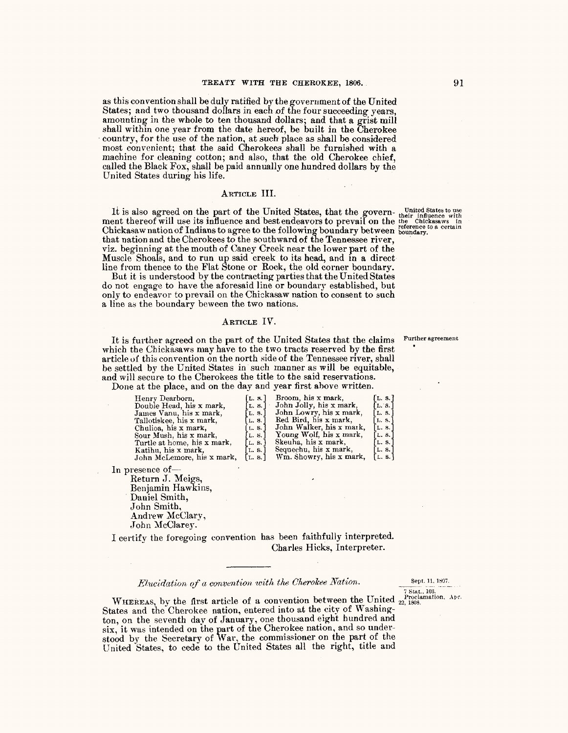as this convention shall be duly ratified by the government of the United States; and two thousand dollars in each of the four succeeding years, amounting in the whole to ten thousand dollars; and that a grist mill shall within one year from the date hereof, be built in the Cherokee country, for the use of the nation, at such place as shall be considered most convenient; that the said Cherokees shall be furnished with a machine for cleaning cotton; and also, that the old Cherokee chief, called the Black Fox, shall be paid annually one hundred dollars by the United States during his life.

## ARTICLE III.

It is also agreed on the part of the United States, that the govern- united Statesto use ment thereof will use its influence and best endeavors to prevail on the the Chickasaws in Chickasaw nation of Indians to agree to the following boundary between <sup>reterneed</sup><br>that nation and the Cherokees to the southward of the Tennessee river, viz. beginning at the mouth of Caney Creek near the lower part of the Muscle Shoals, and to run up said creek to its head, and in a direct line from thence to the Flat Stone or Rock, the old corner boundary.

But it is understood by the contracting parties that the United States do not engage to have the aforesaid line or boundary established, but only to endeavor *to* prevail on the Chickasaw nation to consent to such a line as the boundary beween the two nations.

#### ARTICLE IV.

It is further agreed on the part of the United States that the claims Further agreement which the Chickasaws may have to the two tracts reserved by the first article of this convention on the north side of the Tennessee river, shall be settled by the United States in such manner as will be equitable, and will secure to the Cherokees the title to the said reservations.

Done at the place, and on the day and year first above written.

| Henry Dearborn,             | [L. s.]                 | Broom, his x mark,       | [L. s.]      |
|-----------------------------|-------------------------|--------------------------|--------------|
| Double Head, his x mark,    | [L. S.] :               | John Jolly, his x mark,  | [L. s.]      |
| James Vanu, his x mark,     | $\lceil$ L. S. $\lceil$ | John Lowry, his x mark,  | [L. 8.]      |
| Tallotiskee, his x mark,    | L.S.                    | Red Bird, his x mark,    | L.S. $\vert$ |
| Chulioa, his x mark,        | L. S.                   | John Walker, his x mark, | L. 8.        |
| Sour Mush, his x mark,      | L. S. I                 | Young Wolf, his x mark,  | [L. 8.]      |
| Turtle at home, his x mark, | L. S.                   | Skeuha, his x mark,      | [L. S.]      |
| Katihu, his x mark,         | L. S.                   | Sequechu, his x mark,    | L.S.         |
| John McLemore, his x mark,  | L. S.                   | Wm. Showry, his x mark,  | L. S.        |

In presence of-

Return J. Meigs, Benjamin Hawkins,<br>Daniel Smith, John Smith, Andrew McClary, John McClarey.

I certify the foregoing convention has been faithfully interpreted. Charles Hicks, Interpreter.

*Elucidation of a convention with the Cherokee Nation.* Sept. 11, 1807.

7 Stat., 103.

WHEREAS, by the first article of a convention between the United  $_{22,1808}^{Prochaination, Apr.}$ States and the Cherokee nation, entered into at the city of Washington, on the seventh day of January, one thousand eight hundred and  $six$ , it was intended on the part of the Cherokee nation, and so understood by the Secretary of War, the commissioner on the part of the United States, to cede to the Umted States all the right, title and